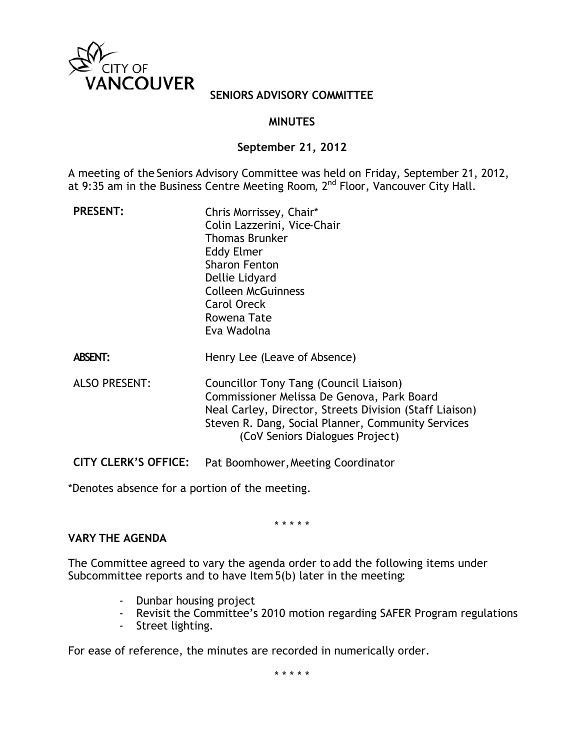

## **SENIORS ADVISORY COMMITTEE**

# **MINUTES**

## **September 21, 2012**

A meeting of the Seniors Advisory Committee was held on Friday, September 21, 2012, at 9:35 am in the Business Centre Meeting Room, 2<sup>nd</sup> Floor, Vancouver City Hall.

| <b>PRESENT:</b>      | Chris Morrissey, Chair*<br>Colin Lazzerini, Vice-Chair<br><b>Thomas Brunker</b><br>Eddy Elmer<br><b>Sharon Fenton</b><br>Dellie Lidyard<br><b>Colleen McGuinness</b><br><b>Carol Oreck</b><br>Rowena Tate<br>Eva Wadolna                 |
|----------------------|------------------------------------------------------------------------------------------------------------------------------------------------------------------------------------------------------------------------------------------|
| <b>ABSENT:</b>       | Henry Lee (Leave of Absence)                                                                                                                                                                                                             |
| <b>ALSO PRESENT:</b> | Councillor Tony Tang (Council Liaison)<br>Commissioner Melissa De Genova, Park Board<br>Neal Carley, Director, Streets Division (Staff Liaison)<br>Steven R. Dang, Social Planner, Community Services<br>(CoV Seniors Dialogues Project) |
|                      |                                                                                                                                                                                                                                          |

**CITY CLERK'S OFFICE:** Pat Boomhower, Meeting Coordinator

\*Denotes absence for a portion of the meeting.

\* \* \* \* \*

## **VARY THE AGENDA**

The Committee agreed to vary the agenda order to add the following items under Subcommittee reports and to have Item 5(b) later in the meeting:

- Dunbar housing project
- Revisit the Committee's 2010 motion regarding SAFER Program regulations
- Street lighting.

For ease of reference, the minutes are recorded in numerically order.

\* \* \* \* \*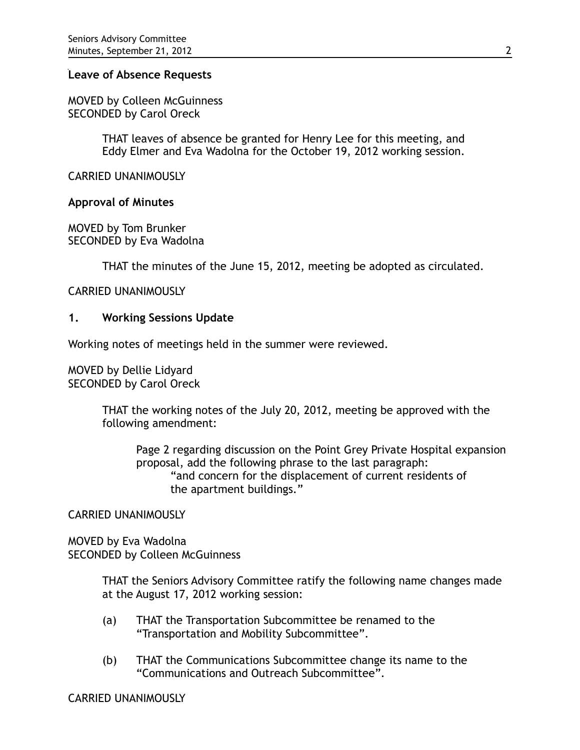### **Leave of Absence Requests**

MOVED by Colleen McGuinness SECONDED by Carol Oreck

> THAT leaves of absence be granted for Henry Lee for this meeting, and Eddy Elmer and Eva Wadolna for the October 19, 2012 working session.

CARRIED UNANIMOUSLY

#### **Approval of Minutes**

MOVED by Tom Brunker SECONDED by Eva Wadolna

THAT the minutes of the June 15, 2012, meeting be adopted as circulated.

### CARRIED UNANIMOUSLY

### **1. Working Sessions Update**

Working notes of meetings held in the summer were reviewed.

MOVED by Dellie Lidyard SECONDED by Carol Oreck

> THAT the working notes of the July 20, 2012, meeting be approved with the following amendment:

Page 2 regarding discussion on the Point Grey Private Hospital expansion proposal, add the following phrase to the last paragraph: "and concern for the displacement of current residents of the apartment buildings."

CARRIED UNANIMOUSLY

MOVED by Eva Wadolna SECONDED by Colleen McGuinness

> THAT the Seniors Advisory Committee ratify the following name changes made at the August 17, 2012 working session:

- (a) THAT the Transportation Subcommittee be renamed to the "Transportation and Mobility Subcommittee".
- (b) THAT the Communications Subcommittee change its name to the "Communications and Outreach Subcommittee".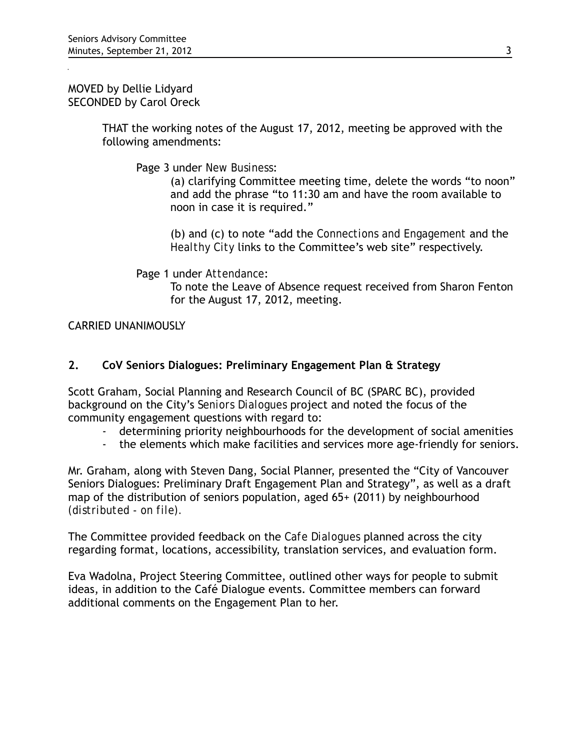MOVED by Dellie Lidyard SECONDED by Carol Oreck

> THAT the working notes of the August 17, 2012, meeting be approved with the following amendments:

Page 3 under *New Business*:

(a) clarifying Committee meeting time, delete the words "to noon" and add the phrase "to 11:30 am and have the room available to noon in case it is required."

(b) and (c) to note "add the *Connections and Engagement* and the *Healthy City* links to the Committee's web site" respectively.

Page 1 under *Attendance*:

To note the Leave of Absence request received from Sharon Fenton for the August 17, 2012, meeting.

CARRIED UNANIMOUSLY

# **2. CoV Seniors Dialogues: Preliminary Engagement Plan & Strategy**

Scott Graham, Social Planning and Research Council of BC (SPARC BC), provided background on the City's *Seniors Dialogues* project and noted the focus of the community engagement questions with regard to:

- determining priority neighbourhoods for the development of social amenities
- the elements which make facilities and services more age-friendly for seniors.

Mr. Graham, along with Steven Dang, Social Planner, presented the "City of Vancouver Seniors Dialogues: Preliminary Draft Engagement Plan and Strategy", as well as a draft map of the distribution of seniors population, aged 65+ (2011) by neighbourhood *(distributed - on file).*

The Committee provided feedback on the *Cafe Dialogues* planned across the city regarding format, locations, accessibility, translation services, and evaluation form.

Eva Wadolna, Project Steering Committee, outlined other ways for people to submit ideas, in addition to the Café Dialogue events. Committee members can forward additional comments on the Engagement Plan to her.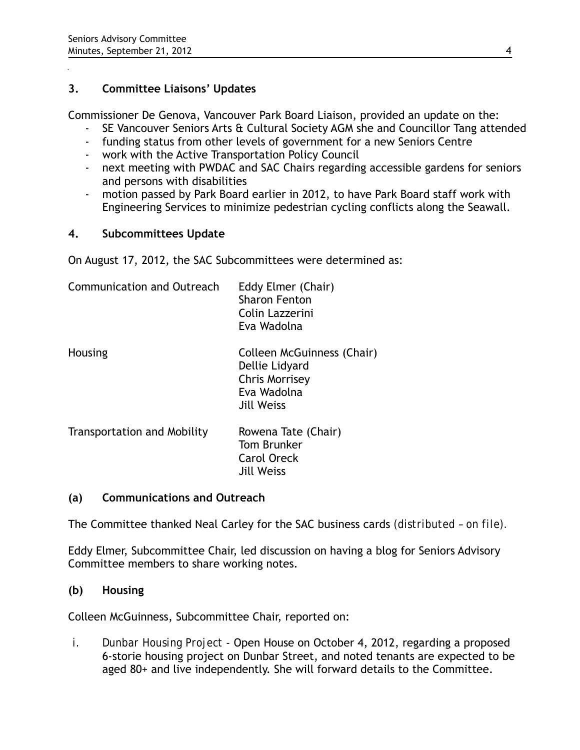# **3. Committee Liaisons' Updates**

Commissioner De Genova, Vancouver Park Board Liaison, provided an update on the:

- SE Vancouver Seniors Arts & Cultural Society AGM she and Councillor Tang attended
- funding status from other levels of government for a new Seniors Centre
- work with the Active Transportation Policy Council
- next meeting with PWDAC and SAC Chairs regarding accessible gardens for seniors and persons with disabilities
- motion passed by Park Board earlier in 2012, to have Park Board staff work with Engineering Services to minimize pedestrian cycling conflicts along the Seawall.

# **4. Subcommittees Update**

On August 17, 2012, the SAC Subcommittees were determined as:

| Communication and Outreach         | Eddy Elmer (Chair)<br><b>Sharon Fenton</b><br>Colin Lazzerini<br>Eva Wadolna                       |
|------------------------------------|----------------------------------------------------------------------------------------------------|
| Housing                            | Colleen McGuinness (Chair)<br>Dellie Lidyard<br>Chris Morrisey<br>Eva Wadolna<br><b>Jill Weiss</b> |
| <b>Transportation and Mobility</b> | Rowena Tate (Chair)<br>Tom Brunker<br><b>Carol Oreck</b><br><b>Jill Weiss</b>                      |

## **(a) Communications and Outreach**

The Committee thanked Neal Carley for the SAC business cards *(distributed – on file).*

Eddy Elmer, Subcommittee Chair, led discussion on having a blog for Seniors Advisory Committee members to share working notes.

## **(b) Housing**

Colleen McGuinness, Subcommittee Chair, reported on:

*i. Dunbar Housing Project -* Open House on October 4, 2012, regarding a proposed 6-storie housing project on Dunbar Street, and noted tenants are expected to be aged 80+ and live independently. She will forward details to the Committee.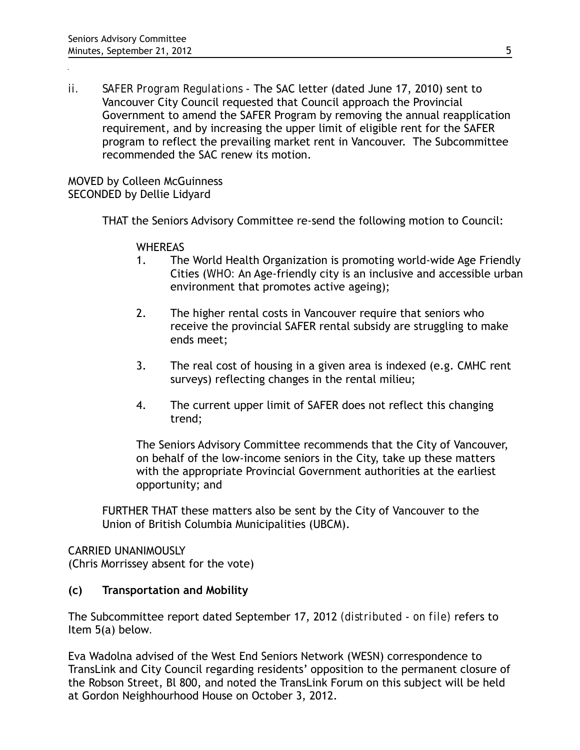*ii. SAFER Program Regulations -* The SAC letter (dated June 17, 2010) sent to Vancouver City Council requested that Council approach the Provincial Government to amend the SAFER Program by removing the annual reapplication requirement, and by increasing the upper limit of eligible rent for the SAFER program to reflect the prevailing market rent in Vancouver. The Subcommittee recommended the SAC renew its motion.

MOVED by Colleen McGuinness SECONDED by Dellie Lidyard

THAT the Seniors Advisory Committee re-send the following motion to Council:

**WHEREAS** 

- 1. The World Health Organization is promoting world-wide Age Friendly Cities (*WHO:* An Age-friendly city is an inclusive and accessible urban environment that promotes active ageing);
- 2. The higher rental costs in Vancouver require that seniors who receive the provincial SAFER rental subsidy are struggling to make ends meet;
- 3. The real cost of housing in a given area is indexed (e.g. CMHC rent surveys) reflecting changes in the rental milieu;
- 4. The current upper limit of SAFER does not reflect this changing trend;

The Seniors Advisory Committee recommends that the City of Vancouver, on behalf of the low-income seniors in the City, take up these matters with the appropriate Provincial Government authorities at the earliest opportunity; and

FURTHER THAT these matters also be sent by the City of Vancouver to the Union of British Columbia Municipalities (UBCM).

CARRIED UNANIMOUSLY (Chris Morrissey absent for the vote)

## **(c) Transportation and Mobility**

The Subcommittee report dated September 17, 2012 *(distributed - on file)* refers to Item 5(a) below*.* 

Eva Wadolna advised of the West End Seniors Network (WESN) correspondence to TransLink and City Council regarding residents' opposition to the permanent closure of the Robson Street, Bl 800, and noted the TransLink Forum on this subject will be held at Gordon Neighhourhood House on October 3, 2012.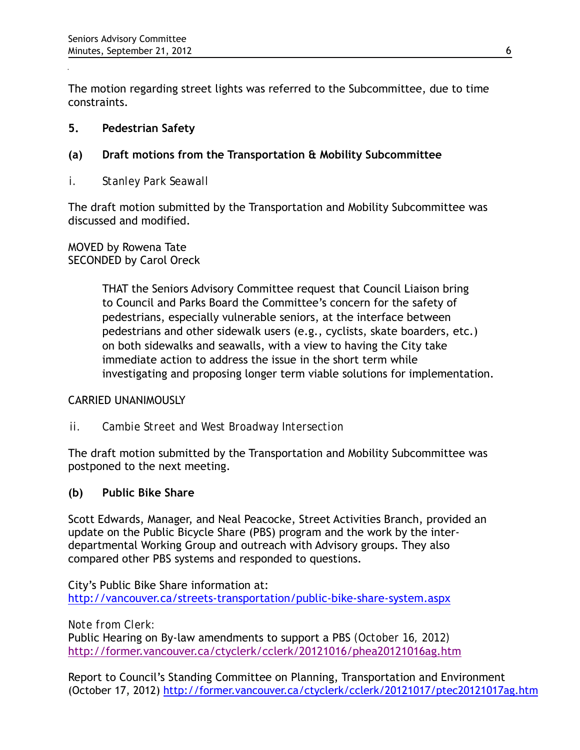The motion regarding street lights was referred to the Subcommittee, due to time constraints.

# **5. Pedestrian Safety**

# **(a) Draft motions from the Transportation & Mobility Subcommittee**

*i. Stanley Park Seawall*

The draft motion submitted by the Transportation and Mobility Subcommittee was discussed and modified.

MOVED by Rowena Tate SECONDED by Carol Oreck

> THAT the Seniors Advisory Committee request that Council Liaison bring to Council and Parks Board the Committee's concern for the safety of pedestrians, especially vulnerable seniors, at the interface between pedestrians and other sidewalk users (e.g., cyclists, skate boarders, etc.) on both sidewalks and seawalls, with a view to having the City take immediate action to address the issue in the short term while investigating and proposing longer term viable solutions for implementation.

## CARRIED UNANIMOUSLY

*ii. Cambie Street and West Broadway Intersection*

The draft motion submitted by the Transportation and Mobility Subcommittee was postponed to the next meeting.

# **(b) Public Bike Share**

Scott Edwards, Manager, and Neal Peacocke, Street Activities Branch, provided an update on the Public Bicycle Share (PBS) program and the work by the interdepartmental Working Group and outreach with Advisory groups. They also compared other PBS systems and responded to questions.

City's Public Bike Share information at: <http://vancouver.ca/streets-transportation/public-bike-share-system.aspx>

*Note from Clerk:*

Public Hearing on By-law amendments to support a PBS *(October 16, 2012)* <http://former.vancouver.ca/ctyclerk/cclerk/20121016/phea20121016ag.htm>

Report to Council's Standing Committee on Planning, Transportation and Environment (October 17, 2012)<http://former.vancouver.ca/ctyclerk/cclerk/20121017/ptec20121017ag.htm>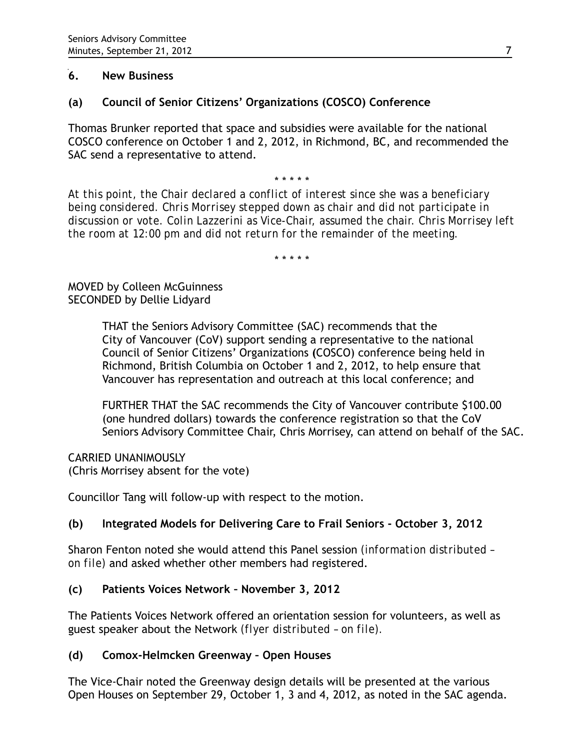# **6. New Business**

# **(a) Council of Senior Citizens' Organizations (COSCO) Conference**

Thomas Brunker reported that space and subsidies were available for the national COSCO conference on October 1 and 2, 2012, in Richmond, BC, and recommended the SAC send a representative to attend.

\* \* \* \* \*

*At this point, the Chair declared a conflict of interest since she was a beneficiary being considered. Chris Morrisey stepped down as chair and did not participate in discussion or vote. Colin Lazzerini as Vice-Chair, assumed the chair. Chris Morrisey left the room at 12:00 pm and did not return for the remainder of the meeting.*

\* \* \* \* \*

# MOVED by Colleen McGuinness SECONDED by Dellie Lidyard

THAT the Seniors Advisory Committee (SAC) recommends that the City of Vancouver (CoV) support sending a representative to the national Council of Senior Citizens' Organizations **(**COSCO) conference being held in Richmond, British Columbia on October 1 and 2, 2012, to help ensure that Vancouver has representation and outreach at this local conference; and

FURTHER THAT the SAC recommends the City of Vancouver contribute \$100.00 (one hundred dollars) towards the conference registration so that the CoV Seniors Advisory Committee Chair, Chris Morrisey, can attend on behalf of the SAC.

CARRIED UNANIMOUSLY (Chris Morrisey absent for the vote)

Councillor Tang will follow-up with respect to the motion.

# **(b) Integrated Models for Delivering Care to Frail Seniors - October 3, 2012**

Sharon Fenton noted she would attend this Panel session *(information distributed – on file)* and asked whether other members had registered.

# **(c) Patients Voices Network – November 3, 2012**

The Patients Voices Network offered an orientation session for volunteers, as well as guest speaker about the Network *(flyer distributed – on file).*

# **(d) Comox-Helmcken Greenway – Open Houses**

The Vice-Chair noted the Greenway design details will be presented at the various Open Houses on September 29, October 1, 3 and 4, 2012, as noted in the SAC agenda.